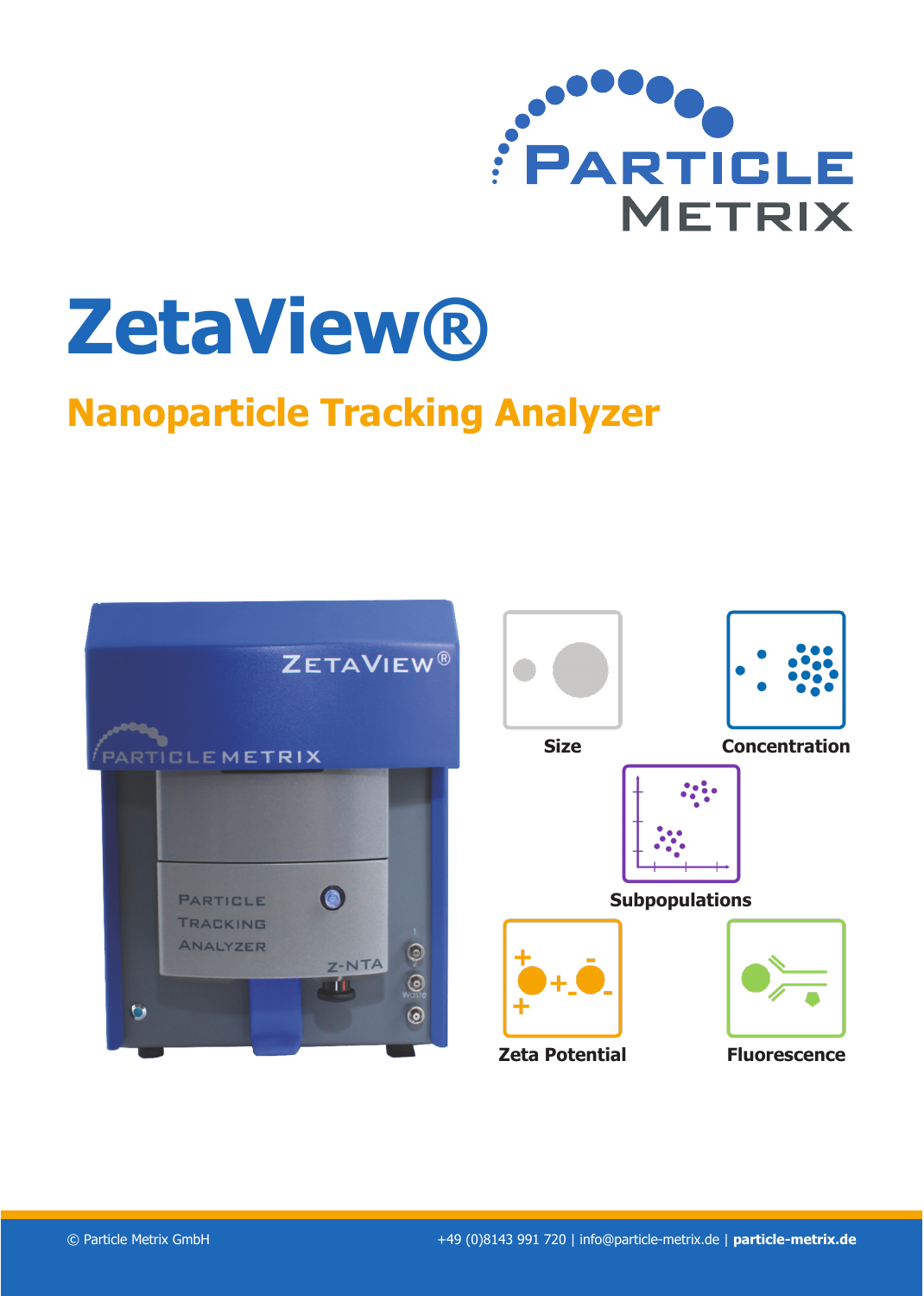

# **ZetaView®**

# **Nanoparticle Tracking Analyzer**



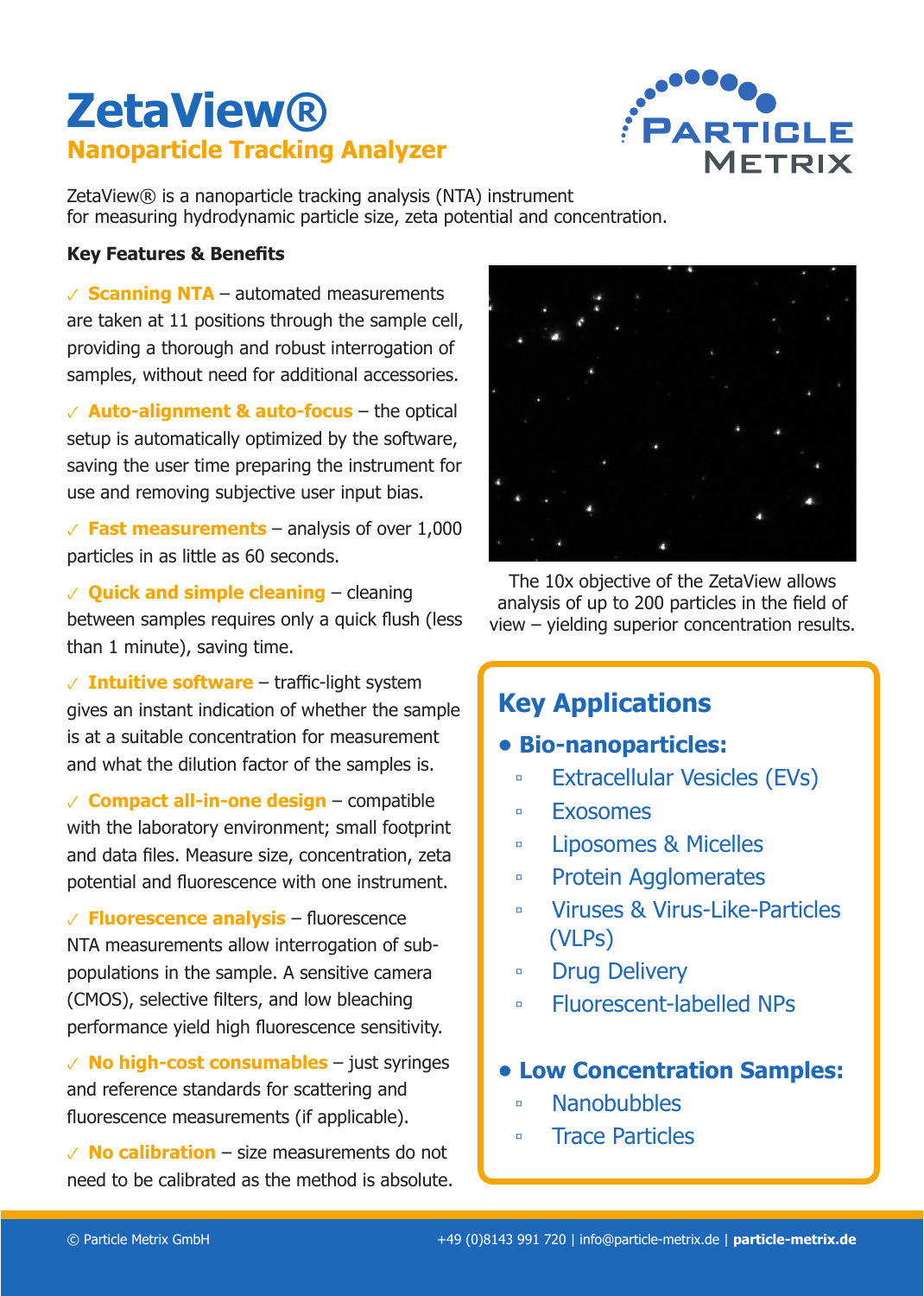# **ZetaView® Nanoparticle Tracking Analyzer**



ZetaView® is a nanoparticle tracking analysis (NTA) instrument for measuring hydrodynamic particle size, zeta potential and concentration.

# **Key Features & Benefits**

 $\sqrt{\ }$  **Scanning NTA** – automated measurements are taken at 11 positions through the sample cell, providing a thorough and robust interrogation of samples, without need for additional accessories.

✓ **Auto-alignment & auto-focus** – the optical setup is automatically optimized by the software, saving the user time preparing the instrument for use and removing subjective user input bias.

 $\sqrt{\ }$  **Fast measurements** – analysis of over 1,000 particles in as little as 60 seconds.

✓ **Quick and simple cleaning** – cleaning between samples requires only a quick flush (less than 1 minute), saving time.

✓ **Intuitive software** – traffic-light system gives an instant indication of whether the sample is at a suitable concentration for measurement and what the dilution factor of the samples is.

✓ **Compact all-in-one design** – compatible with the laboratory environment; small footprint and data files. Measure size, concentration, zeta potential and fluorescence with one instrument.

✓ **Fluorescence analysis** – fluorescence NTA measurements allow interrogation of subpopulations in the sample. A sensitive camera (CMOS), selective filters, and low bleaching performance yield high fluorescence sensitivity.

✓ **No high-cost consumables** – just syringes and reference standards for scattering and fluorescence measurements (if applicable).

 $\vee$  **No calibration** – size measurements do not need to be calibrated as the method is absolute.



The 10x objective of the ZetaView allows analysis of up to 200 particles in the field of view – yielding superior concentration results.

# **Key Applications**

# **• Bio-nanoparticles:**

- **▫** Extracellular Vesicles (EVs)
- **▫** Exosomes
- **▫** Liposomes & Micelles
- **▫** Protein Agglomerates
- **▫** Viruses & Virus-Like-Particles (VLPs)
- **▫** Drug Delivery
- **▫** Fluorescent-labelled NPs
- **• Low Concentration Samples:**
	- **▫** Nanobubbles
	- **▫** Trace Particles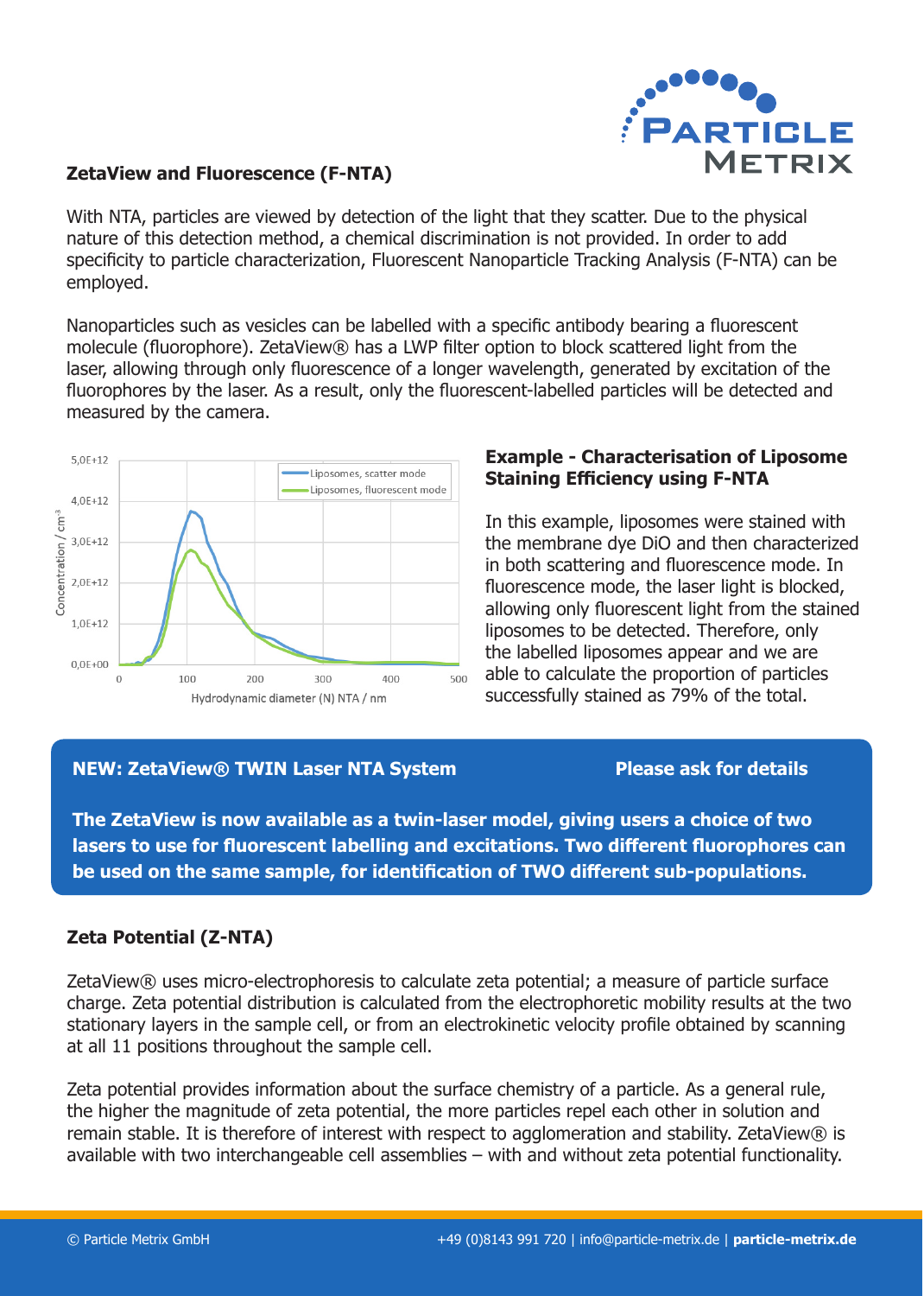

### **ZetaView and Fluorescence (F-NTA)**

With NTA, particles are viewed by detection of the light that they scatter. Due to the physical nature of this detection method, a chemical discrimination is not provided. In order to add specificity to particle characterization, Fluorescent Nanoparticle Tracking Analysis (F-NTA) can be employed.

Nanoparticles such as vesicles can be labelled with a specific antibody bearing a fluorescent molecule (fluorophore). ZetaView® has a LWP filter option to block scattered light from the laser, allowing through only fluorescence of a longer wavelength, generated by excitation of the fluorophores by the laser. As a result, only the fluorescent-labelled particles will be detected and measured by the camera.



## **Example - Characterisation of Liposome Staining Efficiency using F-NTA**

In this example, liposomes were stained with the membrane dye DiO and then characterized in both scattering and fluorescence mode. In fluorescence mode, the laser light is blocked, allowing only fluorescent light from the stained liposomes to be detected. Therefore, only the labelled liposomes appear and we are able to calculate the proportion of particles successfully stained as 79% of the total.

### **NEW: ZetaView® TWIN Laser NTA System Please ask for details**

**The ZetaView is now available as a twin-laser model, giving users a choice of two lasers to use for fluorescent labelling and excitations. Two different fluorophores can be used on the same sample, for identification of TWO different sub-populations.**

# **Zeta Potential (Z-NTA)**

ZetaView® uses micro-electrophoresis to calculate zeta potential; a measure of particle surface charge. Zeta potential distribution is calculated from the electrophoretic mobility results at the two stationary layers in the sample cell, or from an electrokinetic velocity profile obtained by scanning at all 11 positions throughout the sample cell.

Zeta potential provides information about the surface chemistry of a particle. As a general rule, the higher the magnitude of zeta potential, the more particles repel each other in solution and remain stable. It is therefore of interest with respect to agglomeration and stability. ZetaView® is available with two interchangeable cell assemblies – with and without zeta potential functionality.